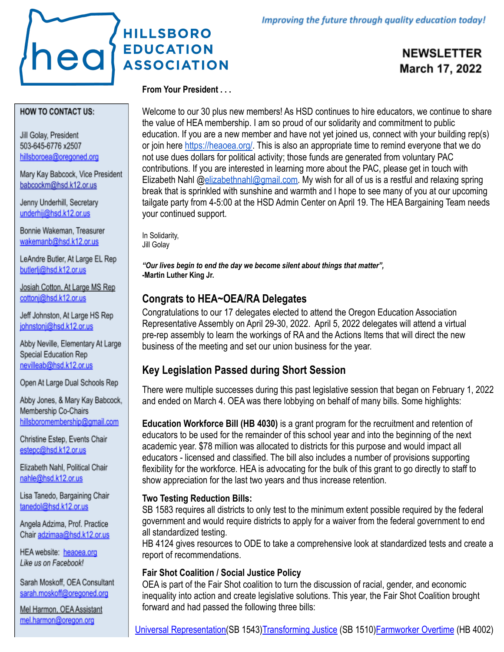# **HILLSBORO** heal **EDUCATION ASSOCIATION**

**NEWSLETTER** March 17, 2022

#### **HOW TO CONTACT US:**

Jill Golay, President 503-645-6776 x2507 hillsboroea@oregoned.org

Mary Kay Babcock, Vice President babcockm@hsd.k12.or.us

Jenny Underhill, Secretary underhij@hsd.k12.or.us

Bonnie Wakeman, Treasurer wakemanb@hsd.k12.or.us

LeAndre Butler, At Large EL Rep butlerli@hsd.k12.or.us

Josiah Cotton, At Large MS Rep cottoni@hsd.k12.or.us

Jeff Johnston, At Large HS Rep johnstonj@hsd.k12.or.us

Abby Neville, Elementary At Large Special Education Rep nevilleab@hsd.k12.or.us

Open At Large Dual Schools Rep

Abby Jones, & Mary Kay Babcock, Membership Co-Chairs hillsboromembership@gmail.com

Christine Estep, Events Chair estepc@hsd.k12.or.us

Elizabeth Nahl, Political Chair nahle@hsd.k12.or.us

Lisa Tanedo, Bargaining Chair tanedol@hsd.k12.or.us

Angela Adzima, Prof. Practice Chair adzimaa@hsd.k12.or.us

HEA website: heaoea.org Like us on Facebook!

Sarah Moskoff, OEA Consultant sarah.moskoff@oregoned.org

Mel Harmon, OEA Assistant mel.harmon@oregon.org

## **From Your President . . .**

Welcome to our 30 plus new members! As HSD continues to hire educators, we continue to share the value of HEA membership. I am so proud of our solidarity and commitment to public education. If you are a new member and have not yet joined us, connect with your building rep(s) or join here [https://heaoea.org/.](https://heaoea.org/) This is also an appropriate time to remind everyone that we do not use dues dollars for political activity; those funds are generated from voluntary PAC contributions. If you are interested in learning more about the PAC, please get in touch with Elizabeth Nahl @[elizabethnahl@gmail.com.](mailto:elizabethnahl@gmail.com) My wish for all of us is a restful and relaxing spring break that is sprinkled with sunshine and warmth and I hope to see many of you at our upcoming tailgate party from 4-5:00 at the HSD Admin Center on April 19. The HEA Bargaining Team needs your continued support.

In Solidarity, Jill Golay

*"Our lives begin to end the day we become silent about things that matter",* **-Martin Luther King Jr.**

## **Congrats to HEA~OEA/RA Delegates**

Congratulations to our 17 delegates elected to attend the Oregon Education Association Representative Assembly on April 29-30, 2022. April 5, 2022 delegates will attend a virtual pre-rep assembly to learn the workings of RA and the Actions Items that will direct the new business of the meeting and set our union business for the year.

## **Key Legislation Passed during Short Session**

There were multiple successes during this past legislative session that began on February 1, 2022 and ended on March 4. OEA was there lobbying on behalf of many bills. Some highlights:

**Education Workforce Bill (HB 4030)** is a grant program for the recruitment and retention of educators to be used for the remainder of this school year and into the beginning of the next academic year. \$78 million was allocated to districts for this purpose and would impact all educators - licensed and classified. The bill also includes a number of provisions supporting flexibility for the workforce. HEA is advocating for the bulk of this grant to go directly to staff to show appreciation for the last two years and thus increase retention.

## **Two Testing Reduction Bills:**

SB 1583 requires all districts to only test to the minimum extent possible required by the federal government and would require districts to apply for a waiver from the federal government to end all standardized testing.

HB 4124 gives resources to ODE to take a comprehensive look at standardized tests and create a report of recommendations.

## **Fair Shot Coalition / Social Justice Policy**

OEA is part of the Fair Shot coalition to turn the discussion of racial, gender, and economic inequality into action and create legislative solutions. This year, the Fair Shot Coalition brought forward and had passed the following three bills: